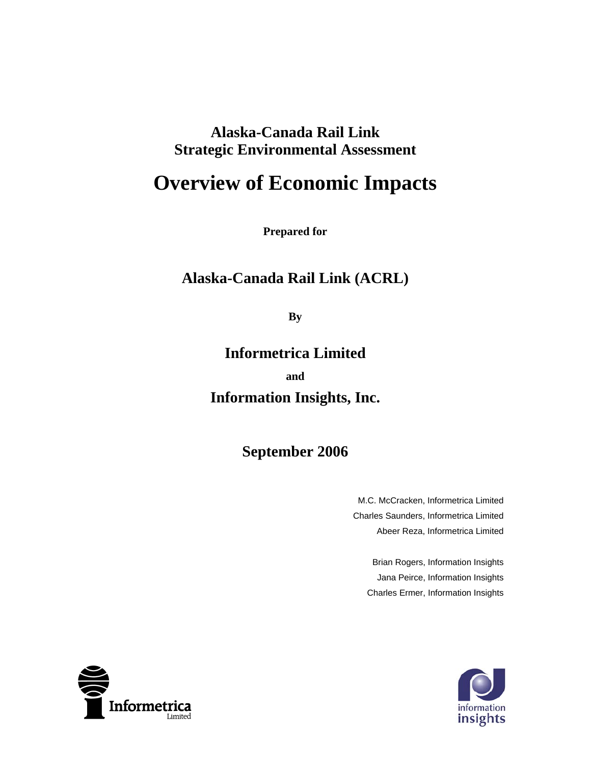### **Alaska-Canada Rail Link Strategic Environmental Assessment**

# **Overview of Economic Impacts**

**Prepared for** 

### **Alaska-Canada Rail Link (ACRL)**

**By** 

**Informetrica Limited and Information Insights, Inc.** 

**September 2006** 

M.C. McCracken, Informetrica Limited Charles Saunders, Informetrica Limited Abeer Reza, Informetrica Limited

Brian Rogers, Information Insights Jana Peirce, Information Insights Charles Ermer, Information Insights



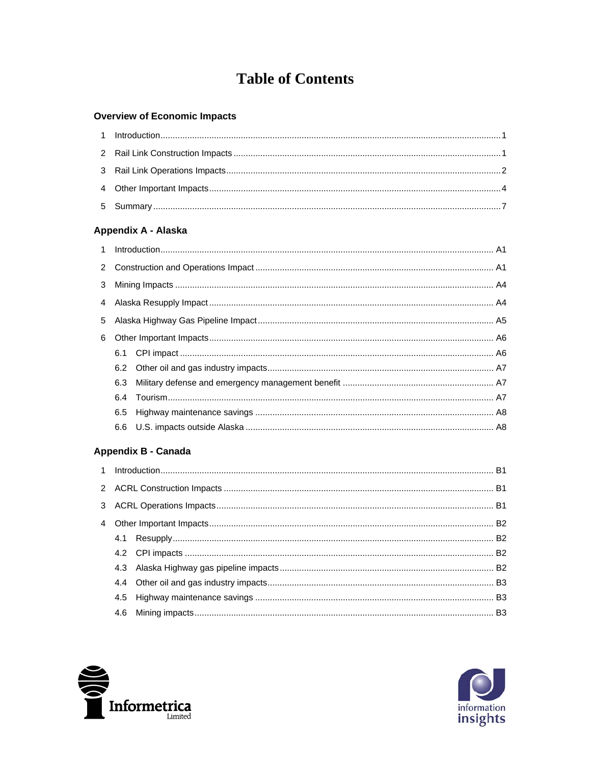## **Table of Contents**

#### **Overview of Economic Impacts**

#### Appendix A - Alaska

| 6.5 |  |  |  |  |  |  |  |
|-----|--|--|--|--|--|--|--|
|     |  |  |  |  |  |  |  |
|     |  |  |  |  |  |  |  |

#### Appendix B - Canada



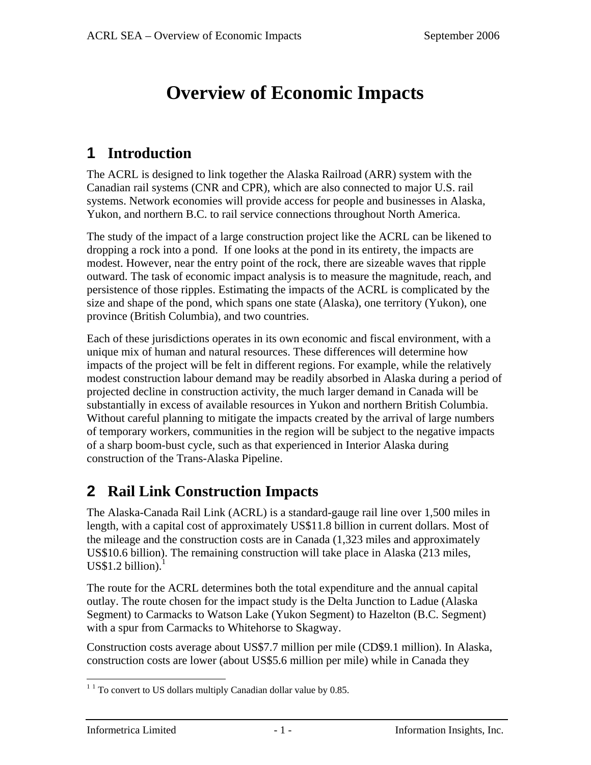# **Overview of Economic Impacts**

### **1 Introduction**

The ACRL is designed to link together the Alaska Railroad (ARR) system with the Canadian rail systems (CNR and CPR), which are also connected to major U.S. rail systems. Network economies will provide access for people and businesses in Alaska, Yukon, and northern B.C. to rail service connections throughout North America.

The study of the impact of a large construction project like the ACRL can be likened to dropping a rock into a pond. If one looks at the pond in its entirety, the impacts are modest. However, near the entry point of the rock, there are sizeable waves that ripple outward. The task of economic impact analysis is to measure the magnitude, reach, and persistence of those ripples. Estimating the impacts of the ACRL is complicated by the size and shape of the pond, which spans one state (Alaska), one territory (Yukon), one province (British Columbia), and two countries.

Each of these jurisdictions operates in its own economic and fiscal environment, with a unique mix of human and natural resources. These differences will determine how impacts of the project will be felt in different regions. For example, while the relatively modest construction labour demand may be readily absorbed in Alaska during a period of projected decline in construction activity, the much larger demand in Canada will be substantially in excess of available resources in Yukon and northern British Columbia. Without careful planning to mitigate the impacts created by the arrival of large numbers of temporary workers, communities in the region will be subject to the negative impacts of a sharp boom-bust cycle, such as that experienced in Interior Alaska during construction of the Trans-Alaska Pipeline.

## **2 Rail Link Construction Impacts**

The Alaska-Canada Rail Link (ACRL) is a standard-gauge rail line over 1,500 miles in length, with a capital cost of approximately US\$11.8 billion in current dollars. Most of the mileage and the construction costs are in Canada (1,323 miles and approximately US\$10.6 billion). The remaining construction will take place in Alaska (213 miles,  $US$1.2 billion.<sup>1</sup>$ 

The route for the ACRL determines both the total expenditure and the annual capital outlay. The route chosen for the impact study is the Delta Junction to Ladue (Alaska Segment) to Carmacks to Watson Lake (Yukon Segment) to Hazelton (B.C. Segment) with a spur from Carmacks to Whitehorse to Skagway.

Construction costs average about US\$7.7 million per mile (CD\$9.1 million). In Alaska, construction costs are lower (about US\$5.6 million per mile) while in Canada they

 $1<sup>1</sup>$  To convert to US dollars multiply Canadian dollar value by 0.85.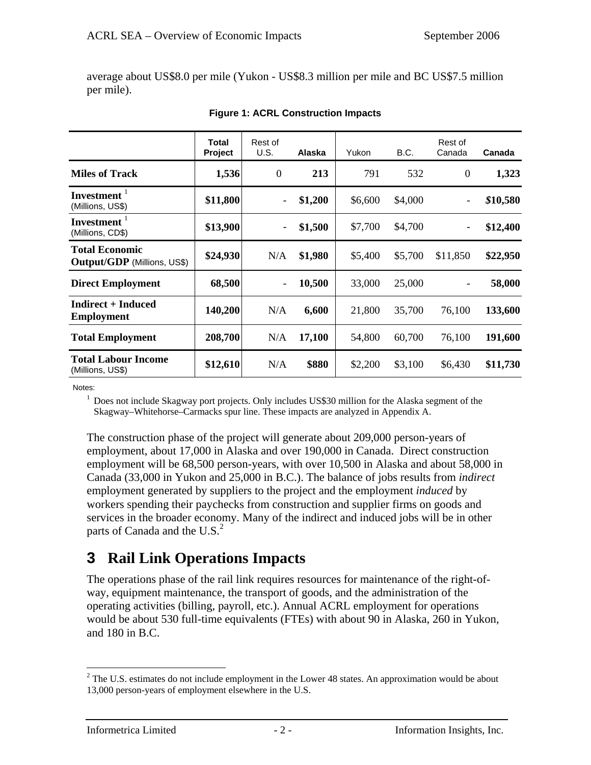average about US\$8.0 per mile (Yukon - US\$8.3 million per mile and BC US\$7.5 million per mile).

|                                                      | <b>Total</b><br>Project | Rest of<br>U.S.          | Alaska  | Yukon   | B.C.    | Rest of<br>Canada | Canada   |
|------------------------------------------------------|-------------------------|--------------------------|---------|---------|---------|-------------------|----------|
| <b>Miles of Track</b>                                | 1,536                   | $\theta$                 | 213     | 791     | 532     | $\theta$          | 1,323    |
| Investment $1$<br>(Millions, US\$)                   | \$11,800                | ۰                        | \$1,200 | \$6,600 | \$4,000 | -                 | \$10,580 |
| Investment <sup>1</sup><br>(Millions, CD\$)          | \$13,900                | $\overline{\phantom{a}}$ | \$1,500 | \$7,700 | \$4,700 | -                 | \$12,400 |
| <b>Total Economic</b><br>Output/GDP (Millions, US\$) | \$24,930                | N/A                      | \$1,980 | \$5,400 | \$5,700 | \$11,850          | \$22,950 |
| <b>Direct Employment</b>                             | 68,500                  | ۰                        | 10,500  | 33,000  | 25,000  |                   | 58,000   |
| <b>Indirect + Induced</b><br><b>Employment</b>       | 140,200                 | N/A                      | 6,600   | 21,800  | 35,700  | 76,100            | 133,600  |
| <b>Total Employment</b>                              | 208,700                 | N/A                      | 17,100  | 54,800  | 60,700  | 76,100            | 191,600  |
| <b>Total Labour Income</b><br>(Millions, US\$)       | \$12,610                | N/A                      | \$880   | \$2,200 | \$3,100 | \$6,430           | \$11,730 |

| <b>Figure 1: ACRL Construction Impacts</b> |
|--------------------------------------------|
|--------------------------------------------|

Notes:

<sup>1</sup> Does not include Skagway port projects. Only includes US\$30 million for the Alaska segment of the Skagway–Whitehorse–Carmacks spur line. These impacts are analyzed in Appendix A.

The construction phase of the project will generate about 209,000 person-years of employment, about 17,000 in Alaska and over 190,000 in Canada. Direct construction employment will be 68,500 person-years, with over 10,500 in Alaska and about 58,000 in Canada (33,000 in Yukon and 25,000 in B.C.). The balance of jobs results from *indirect* employment generated by suppliers to the project and the employment *induced* by workers spending their paychecks from construction and supplier firms on goods and services in the broader economy. Many of the indirect and induced jobs will be in other parts of Canada and the  $U.S.<sup>2</sup>$ 

### **3 Rail Link Operations Impacts**

The operations phase of the rail link requires resources for maintenance of the right-ofway, equipment maintenance, the transport of goods, and the administration of the operating activities (billing, payroll, etc.). Annual ACRL employment for operations would be about 530 full-time equivalents (FTEs) with about 90 in Alaska, 260 in Yukon, and 180 in B.C.

 $2^2$  The U.S. estimates do not include employment in the Lower 48 states. An approximation would be about 13,000 person-years of employment elsewhere in the U.S.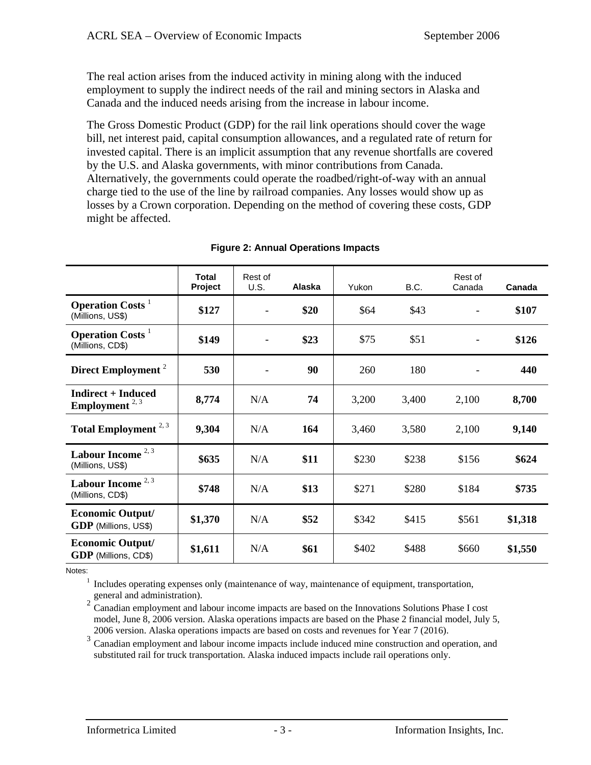The real action arises from the induced activity in mining along with the induced employment to supply the indirect needs of the rail and mining sectors in Alaska and Canada and the induced needs arising from the increase in labour income.

The Gross Domestic Product (GDP) for the rail link operations should cover the wage bill, net interest paid, capital consumption allowances, and a regulated rate of return for invested capital. There is an implicit assumption that any revenue shortfalls are covered by the U.S. and Alaska governments, with minor contributions from Canada. Alternatively, the governments could operate the roadbed/right-of-way with an annual charge tied to the use of the line by railroad companies. Any losses would show up as losses by a Crown corporation. Depending on the method of covering these costs, GDP might be affected.

|                                                                | <b>Total</b><br>Project | Rest of<br>U.S. | Alaska | Yukon | B.C.  | Rest of<br>Canada | Canada  |
|----------------------------------------------------------------|-------------------------|-----------------|--------|-------|-------|-------------------|---------|
| <b>Operation Costs</b> <sup>1</sup><br>(Millions, US\$)        | \$127                   |                 | \$20   | \$64  | \$43  |                   | \$107   |
| <b>Operation Costs</b> <sup>1</sup><br>(Millions, CD\$)        | \$149                   |                 | \$23   | \$75  | \$51  |                   | \$126   |
| Direct Employment <sup>2</sup>                                 | 530                     |                 | 90     | 260   | 180   |                   | 440     |
| <b>Indirect + Induced</b><br><b>Employment</b> <sup>2, 3</sup> | 8,774                   | N/A             | 74     | 3,200 | 3,400 | 2,100             | 8,700   |
| Total Employment $2,3$                                         | 9,304                   | N/A             | 164    | 3,460 | 3,580 | 2,100             | 9,140   |
| Labour Income $2,3$<br>(Millions, US\$)                        | \$635                   | N/A             | \$11   | \$230 | \$238 | \$156             | \$624   |
| Labour Income <sup>2,3</sup><br>(Millions, CD\$)               | \$748                   | N/A             | \$13   | \$271 | \$280 | \$184             | \$735   |
| <b>Economic Output/</b><br><b>GDP</b> (Millions, US\$)         | \$1,370                 | N/A             | \$52   | \$342 | \$415 | \$561             | \$1,318 |
| <b>Economic Output/</b><br><b>GDP</b> (Millions, CD\$)         | \$1,611                 | N/A             | \$61   | \$402 | \$488 | \$660             | \$1,550 |

#### **Figure 2: Annual Operations Impacts**

Notes:

<sup>1</sup> Includes operating expenses only (maintenance of way, maintenance of equipment, transportation, general and administration).

2 Canadian employment and labour income impacts are based on the Innovations Solutions Phase I cost model, June 8, 2006 version. Alaska operations impacts are based on the Phase 2 financial model, July 5, 2006 version. Alaska operations impacts are based on costs and revenues for Year 7 (2016).

<sup>3</sup> Canadian employment and labour income impacts include induced mine construction and operation, and substituted rail for truck transportation. Alaska induced impacts include rail operations only.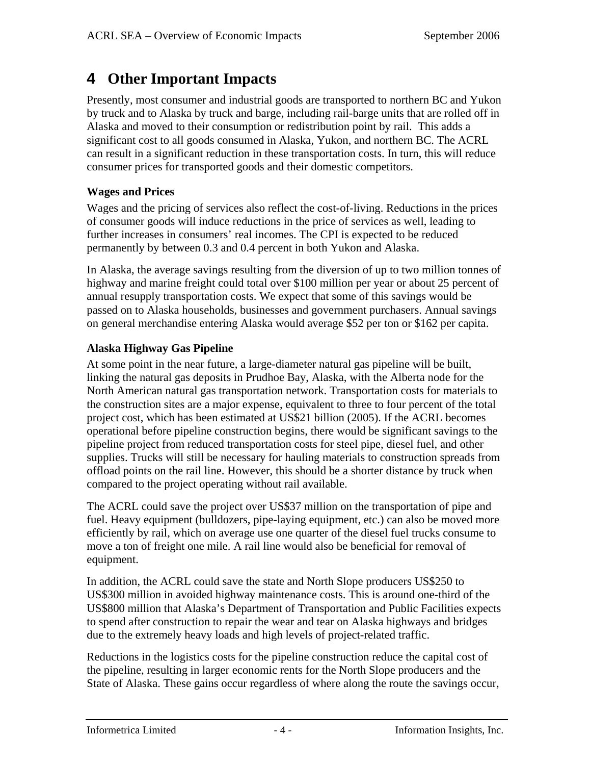### **4 Other Important Impacts**

Presently, most consumer and industrial goods are transported to northern BC and Yukon by truck and to Alaska by truck and barge, including rail-barge units that are rolled off in Alaska and moved to their consumption or redistribution point by rail. This adds a significant cost to all goods consumed in Alaska, Yukon, and northern BC. The ACRL can result in a significant reduction in these transportation costs. In turn, this will reduce consumer prices for transported goods and their domestic competitors.

### **Wages and Prices**

Wages and the pricing of services also reflect the cost-of-living. Reductions in the prices of consumer goods will induce reductions in the price of services as well, leading to further increases in consumers' real incomes. The CPI is expected to be reduced permanently by between 0.3 and 0.4 percent in both Yukon and Alaska.

In Alaska, the average savings resulting from the diversion of up to two million tonnes of highway and marine freight could total over \$100 million per year or about 25 percent of annual resupply transportation costs. We expect that some of this savings would be passed on to Alaska households, businesses and government purchasers. Annual savings on general merchandise entering Alaska would average \$52 per ton or \$162 per capita.

### **Alaska Highway Gas Pipeline**

At some point in the near future, a large-diameter natural gas pipeline will be built, linking the natural gas deposits in Prudhoe Bay, Alaska, with the Alberta node for the North American natural gas transportation network. Transportation costs for materials to the construction sites are a major expense, equivalent to three to four percent of the total project cost, which has been estimated at US\$21 billion (2005). If the ACRL becomes operational before pipeline construction begins, there would be significant savings to the pipeline project from reduced transportation costs for steel pipe, diesel fuel, and other supplies. Trucks will still be necessary for hauling materials to construction spreads from offload points on the rail line. However, this should be a shorter distance by truck when compared to the project operating without rail available.

The ACRL could save the project over US\$37 million on the transportation of pipe and fuel. Heavy equipment (bulldozers, pipe-laying equipment, etc.) can also be moved more efficiently by rail, which on average use one quarter of the diesel fuel trucks consume to move a ton of freight one mile. A rail line would also be beneficial for removal of equipment.

In addition, the ACRL could save the state and North Slope producers US\$250 to US\$300 million in avoided highway maintenance costs. This is around one-third of the US\$800 million that Alaska's Department of Transportation and Public Facilities expects to spend after construction to repair the wear and tear on Alaska highways and bridges due to the extremely heavy loads and high levels of project-related traffic.

Reductions in the logistics costs for the pipeline construction reduce the capital cost of the pipeline, resulting in larger economic rents for the North Slope producers and the State of Alaska. These gains occur regardless of where along the route the savings occur,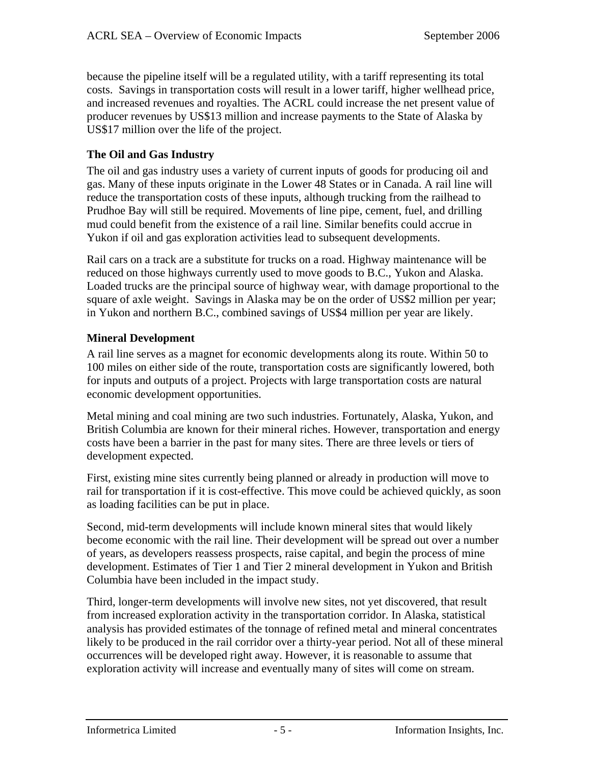because the pipeline itself will be a regulated utility, with a tariff representing its total costs. Savings in transportation costs will result in a lower tariff, higher wellhead price, and increased revenues and royalties. The ACRL could increase the net present value of producer revenues by US\$13 million and increase payments to the State of Alaska by US\$17 million over the life of the project.

#### **The Oil and Gas Industry**

The oil and gas industry uses a variety of current inputs of goods for producing oil and gas. Many of these inputs originate in the Lower 48 States or in Canada. A rail line will reduce the transportation costs of these inputs, although trucking from the railhead to Prudhoe Bay will still be required. Movements of line pipe, cement, fuel, and drilling mud could benefit from the existence of a rail line. Similar benefits could accrue in Yukon if oil and gas exploration activities lead to subsequent developments.

Rail cars on a track are a substitute for trucks on a road. Highway maintenance will be reduced on those highways currently used to move goods to B.C., Yukon and Alaska. Loaded trucks are the principal source of highway wear, with damage proportional to the square of axle weight. Savings in Alaska may be on the order of US\$2 million per year; in Yukon and northern B.C., combined savings of US\$4 million per year are likely.

#### **Mineral Development**

A rail line serves as a magnet for economic developments along its route. Within 50 to 100 miles on either side of the route, transportation costs are significantly lowered, both for inputs and outputs of a project. Projects with large transportation costs are natural economic development opportunities.

Metal mining and coal mining are two such industries. Fortunately, Alaska, Yukon, and British Columbia are known for their mineral riches. However, transportation and energy costs have been a barrier in the past for many sites. There are three levels or tiers of development expected.

First, existing mine sites currently being planned or already in production will move to rail for transportation if it is cost-effective. This move could be achieved quickly, as soon as loading facilities can be put in place.

Second, mid-term developments will include known mineral sites that would likely become economic with the rail line. Their development will be spread out over a number of years, as developers reassess prospects, raise capital, and begin the process of mine development. Estimates of Tier 1 and Tier 2 mineral development in Yukon and British Columbia have been included in the impact study.

Third, longer-term developments will involve new sites, not yet discovered, that result from increased exploration activity in the transportation corridor. In Alaska, statistical analysis has provided estimates of the tonnage of refined metal and mineral concentrates likely to be produced in the rail corridor over a thirty-year period. Not all of these mineral occurrences will be developed right away. However, it is reasonable to assume that exploration activity will increase and eventually many of sites will come on stream.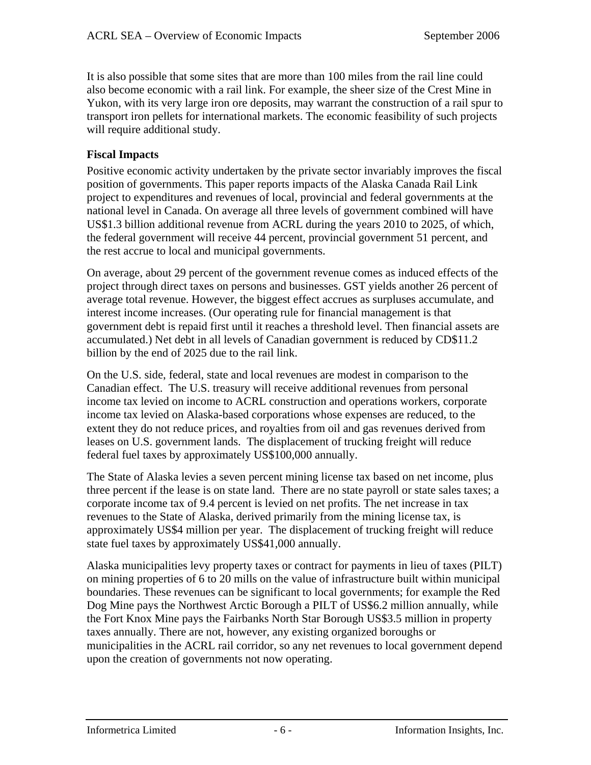It is also possible that some sites that are more than 100 miles from the rail line could also become economic with a rail link. For example, the sheer size of the Crest Mine in Yukon, with its very large iron ore deposits, may warrant the construction of a rail spur to transport iron pellets for international markets. The economic feasibility of such projects will require additional study.

#### **Fiscal Impacts**

Positive economic activity undertaken by the private sector invariably improves the fiscal position of governments. This paper reports impacts of the Alaska Canada Rail Link project to expenditures and revenues of local, provincial and federal governments at the national level in Canada. On average all three levels of government combined will have US\$1.3 billion additional revenue from ACRL during the years 2010 to 2025, of which, the federal government will receive 44 percent, provincial government 51 percent, and the rest accrue to local and municipal governments.

On average, about 29 percent of the government revenue comes as induced effects of the project through direct taxes on persons and businesses. GST yields another 26 percent of average total revenue. However, the biggest effect accrues as surpluses accumulate, and interest income increases. (Our operating rule for financial management is that government debt is repaid first until it reaches a threshold level. Then financial assets are accumulated.) Net debt in all levels of Canadian government is reduced by CD\$11.2 billion by the end of 2025 due to the rail link.

On the U.S. side, federal, state and local revenues are modest in comparison to the Canadian effect. The U.S. treasury will receive additional revenues from personal income tax levied on income to ACRL construction and operations workers, corporate income tax levied on Alaska-based corporations whose expenses are reduced, to the extent they do not reduce prices, and royalties from oil and gas revenues derived from leases on U.S. government lands. The displacement of trucking freight will reduce federal fuel taxes by approximately US\$100,000 annually.

The State of Alaska levies a seven percent mining license tax based on net income, plus three percent if the lease is on state land. There are no state payroll or state sales taxes; a corporate income tax of 9.4 percent is levied on net profits. The net increase in tax revenues to the State of Alaska, derived primarily from the mining license tax, is approximately US\$4 million per year. The displacement of trucking freight will reduce state fuel taxes by approximately US\$41,000 annually.

Alaska municipalities levy property taxes or contract for payments in lieu of taxes (PILT) on mining properties of 6 to 20 mills on the value of infrastructure built within municipal boundaries. These revenues can be significant to local governments; for example the Red Dog Mine pays the Northwest Arctic Borough a PILT of US\$6.2 million annually, while the Fort Knox Mine pays the Fairbanks North Star Borough US\$3.5 million in property taxes annually. There are not, however, any existing organized boroughs or municipalities in the ACRL rail corridor, so any net revenues to local government depend upon the creation of governments not now operating.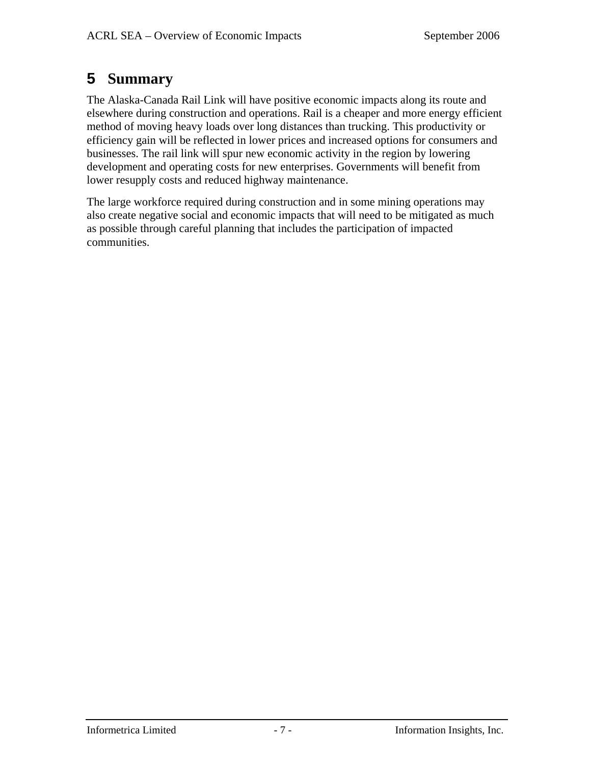## **5 Summary**

The Alaska-Canada Rail Link will have positive economic impacts along its route and elsewhere during construction and operations. Rail is a cheaper and more energy efficient method of moving heavy loads over long distances than trucking. This productivity or efficiency gain will be reflected in lower prices and increased options for consumers and businesses. The rail link will spur new economic activity in the region by lowering development and operating costs for new enterprises. Governments will benefit from lower resupply costs and reduced highway maintenance.

The large workforce required during construction and in some mining operations may also create negative social and economic impacts that will need to be mitigated as much as possible through careful planning that includes the participation of impacted communities.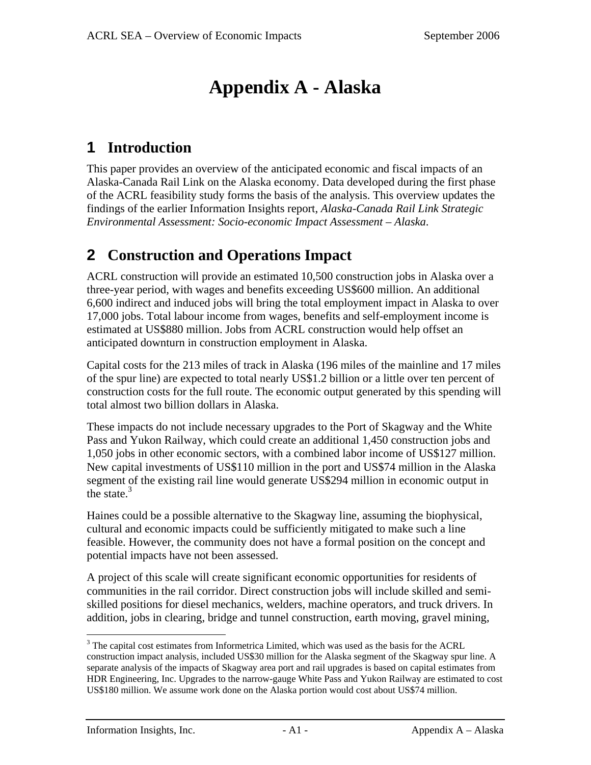# **Appendix A - Alaska**

## **1 Introduction**

This paper provides an overview of the anticipated economic and fiscal impacts of an Alaska-Canada Rail Link on the Alaska economy. Data developed during the first phase of the ACRL feasibility study forms the basis of the analysis. This overview updates the findings of the earlier Information Insights report, *Alaska-Canada Rail Link Strategic Environmental Assessment: Socio-economic Impact Assessment – Alaska*.

## **2 Construction and Operations Impact**

ACRL construction will provide an estimated 10,500 construction jobs in Alaska over a three-year period, with wages and benefits exceeding US\$600 million. An additional 6,600 indirect and induced jobs will bring the total employment impact in Alaska to over 17,000 jobs. Total labour income from wages, benefits and self-employment income is estimated at US\$880 million. Jobs from ACRL construction would help offset an anticipated downturn in construction employment in Alaska.

Capital costs for the 213 miles of track in Alaska (196 miles of the mainline and 17 miles of the spur line) are expected to total nearly US\$1.2 billion or a little over ten percent of construction costs for the full route. The economic output generated by this spending will total almost two billion dollars in Alaska.

These impacts do not include necessary upgrades to the Port of Skagway and the White Pass and Yukon Railway, which could create an additional 1,450 construction jobs and 1,050 jobs in other economic sectors, with a combined labor income of US\$127 million. New capital investments of US\$110 million in the port and US\$74 million in the Alaska segment of the existing rail line would generate US\$294 million in economic output in the state. $3$ 

Haines could be a possible alternative to the Skagway line, assuming the biophysical, cultural and economic impacts could be sufficiently mitigated to make such a line feasible. However, the community does not have a formal position on the concept and potential impacts have not been assessed.

A project of this scale will create significant economic opportunities for residents of communities in the rail corridor. Direct construction jobs will include skilled and semiskilled positions for diesel mechanics, welders, machine operators, and truck drivers. In addition, jobs in clearing, bridge and tunnel construction, earth moving, gravel mining,

<sup>&</sup>lt;sup>3</sup> The capital cost estimates from Informetrica Limited, which was used as the basis for the ACRL construction impact analysis, included US\$30 million for the Alaska segment of the Skagway spur line. A separate analysis of the impacts of Skagway area port and rail upgrades is based on capital estimates from HDR Engineering, Inc. Upgrades to the narrow-gauge White Pass and Yukon Railway are estimated to cost US\$180 million. We assume work done on the Alaska portion would cost about US\$74 million.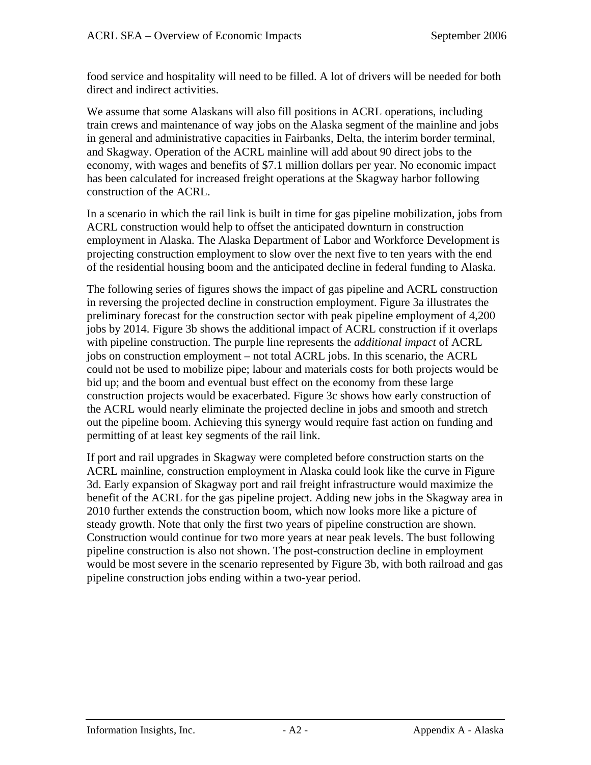food service and hospitality will need to be filled. A lot of drivers will be needed for both direct and indirect activities.

We assume that some Alaskans will also fill positions in ACRL operations, including train crews and maintenance of way jobs on the Alaska segment of the mainline and jobs in general and administrative capacities in Fairbanks, Delta, the interim border terminal, and Skagway. Operation of the ACRL mainline will add about 90 direct jobs to the economy, with wages and benefits of \$7.1 million dollars per year. No economic impact has been calculated for increased freight operations at the Skagway harbor following construction of the ACRL.

In a scenario in which the rail link is built in time for gas pipeline mobilization, jobs from ACRL construction would help to offset the anticipated downturn in construction employment in Alaska. The Alaska Department of Labor and Workforce Development is projecting construction employment to slow over the next five to ten years with the end of the residential housing boom and the anticipated decline in federal funding to Alaska.

The following series of figures shows the impact of gas pipeline and ACRL construction in reversing the projected decline in construction employment. Figure 3a illustrates the preliminary forecast for the construction sector with peak pipeline employment of 4,200 jobs by 2014. Figure 3b shows the additional impact of ACRL construction if it overlaps with pipeline construction. The purple line represents the *additional impact* of ACRL jobs on construction employment – not total ACRL jobs. In this scenario, the ACRL could not be used to mobilize pipe; labour and materials costs for both projects would be bid up; and the boom and eventual bust effect on the economy from these large construction projects would be exacerbated. Figure 3c shows how early construction of the ACRL would nearly eliminate the projected decline in jobs and smooth and stretch out the pipeline boom. Achieving this synergy would require fast action on funding and permitting of at least key segments of the rail link.

If port and rail upgrades in Skagway were completed before construction starts on the ACRL mainline, construction employment in Alaska could look like the curve in Figure 3d. Early expansion of Skagway port and rail freight infrastructure would maximize the benefit of the ACRL for the gas pipeline project. Adding new jobs in the Skagway area in 2010 further extends the construction boom, which now looks more like a picture of steady growth. Note that only the first two years of pipeline construction are shown. Construction would continue for two more years at near peak levels. The bust following pipeline construction is also not shown. The post-construction decline in employment would be most severe in the scenario represented by Figure 3b, with both railroad and gas pipeline construction jobs ending within a two-year period.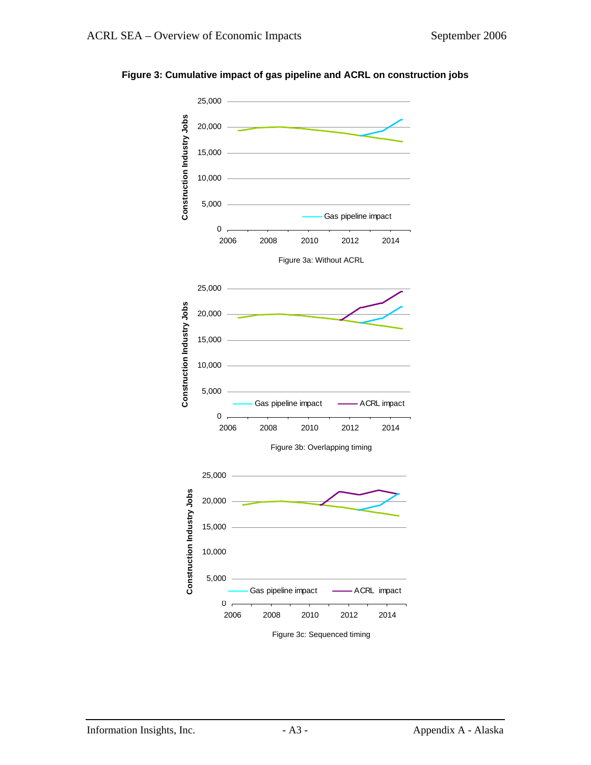

#### **Figure 3: Cumulative impact of gas pipeline and ACRL on construction jobs**

Figure 3c: Sequenced timing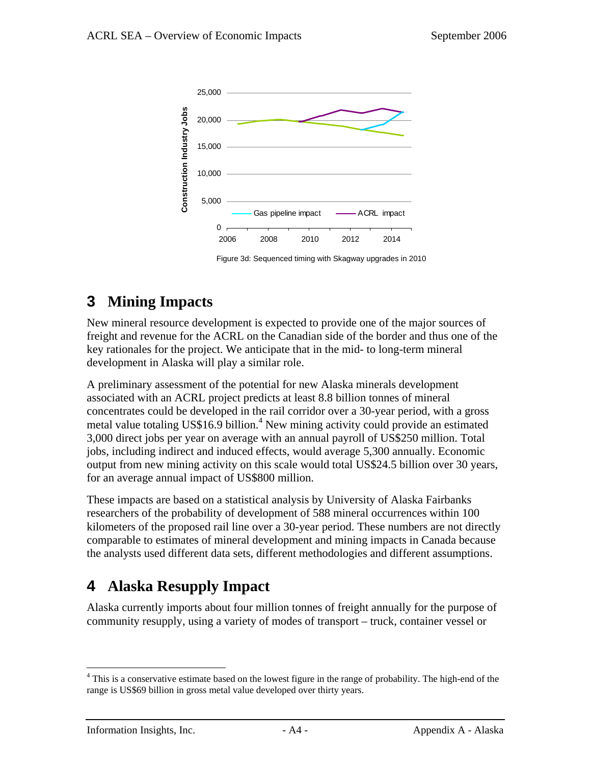

Figure 3d: Sequenced timing with Skagway upgrades in 2010

## **3 Mining Impacts**

New mineral resource development is expected to provide one of the major sources of freight and revenue for the ACRL on the Canadian side of the border and thus one of the key rationales for the project. We anticipate that in the mid- to long-term mineral development in Alaska will play a similar role.

A preliminary assessment of the potential for new Alaska minerals development associated with an ACRL project predicts at least 8.8 billion tonnes of mineral concentrates could be developed in the rail corridor over a 30-year period, with a gross metal value totaling US\$16.9 billion.<sup>4</sup> New mining activity could provide an estimated 3,000 direct jobs per year on average with an annual payroll of US\$250 million. Total jobs, including indirect and induced effects, would average 5,300 annually. Economic output from new mining activity on this scale would total US\$24.5 billion over 30 years, for an average annual impact of US\$800 million.

These impacts are based on a statistical analysis by University of Alaska Fairbanks researchers of the probability of development of 588 mineral occurrences within 100 kilometers of the proposed rail line over a 30-year period. These numbers are not directly comparable to estimates of mineral development and mining impacts in Canada because the analysts used different data sets, different methodologies and different assumptions.

## **4 Alaska Resupply Impact**

Alaska currently imports about four million tonnes of freight annually for the purpose of community resupply, using a variety of modes of transport – truck, container vessel or

<sup>&</sup>lt;sup>4</sup> This is a conservative estimate based on the lowest figure in the range of probability. The high-end of the range is US\$69 billion in gross metal value developed over thirty years.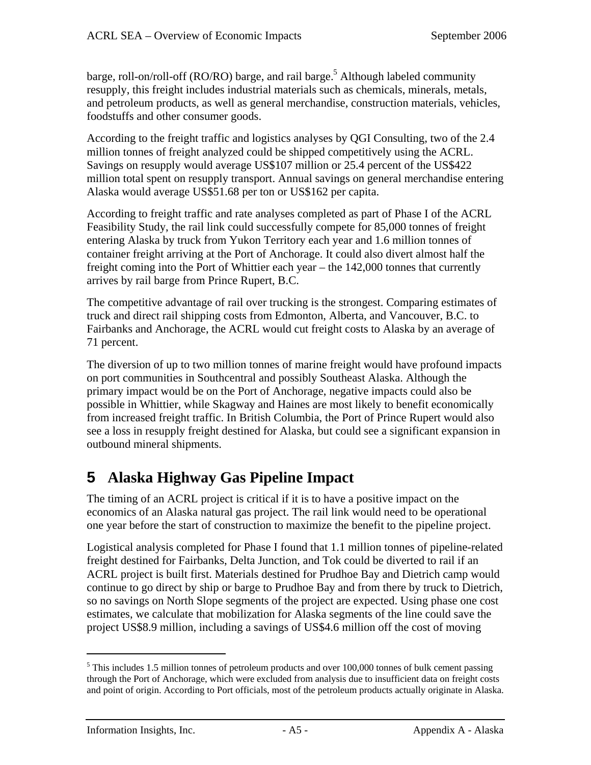barge, roll-on/roll-off (RO/RO) barge, and rail barge.<sup>5</sup> Although labeled community resupply, this freight includes industrial materials such as chemicals, minerals, metals, and petroleum products, as well as general merchandise, construction materials, vehicles, foodstuffs and other consumer goods.

According to the freight traffic and logistics analyses by QGI Consulting, two of the 2.4 million tonnes of freight analyzed could be shipped competitively using the ACRL. Savings on resupply would average US\$107 million or 25.4 percent of the US\$422 million total spent on resupply transport. Annual savings on general merchandise entering Alaska would average US\$51.68 per ton or US\$162 per capita.

According to freight traffic and rate analyses completed as part of Phase I of the ACRL Feasibility Study, the rail link could successfully compete for 85,000 tonnes of freight entering Alaska by truck from Yukon Territory each year and 1.6 million tonnes of container freight arriving at the Port of Anchorage. It could also divert almost half the freight coming into the Port of Whittier each year – the 142,000 tonnes that currently arrives by rail barge from Prince Rupert, B.C.

The competitive advantage of rail over trucking is the strongest. Comparing estimates of truck and direct rail shipping costs from Edmonton, Alberta, and Vancouver, B.C. to Fairbanks and Anchorage, the ACRL would cut freight costs to Alaska by an average of 71 percent.

The diversion of up to two million tonnes of marine freight would have profound impacts on port communities in Southcentral and possibly Southeast Alaska. Although the primary impact would be on the Port of Anchorage, negative impacts could also be possible in Whittier, while Skagway and Haines are most likely to benefit economically from increased freight traffic. In British Columbia, the Port of Prince Rupert would also see a loss in resupply freight destined for Alaska, but could see a significant expansion in outbound mineral shipments.

## **5 Alaska Highway Gas Pipeline Impact**

The timing of an ACRL project is critical if it is to have a positive impact on the economics of an Alaska natural gas project. The rail link would need to be operational one year before the start of construction to maximize the benefit to the pipeline project.

Logistical analysis completed for Phase I found that 1.1 million tonnes of pipeline-related freight destined for Fairbanks, Delta Junction, and Tok could be diverted to rail if an ACRL project is built first. Materials destined for Prudhoe Bay and Dietrich camp would continue to go direct by ship or barge to Prudhoe Bay and from there by truck to Dietrich, so no savings on North Slope segments of the project are expected. Using phase one cost estimates, we calculate that mobilization for Alaska segments of the line could save the project US\$8.9 million, including a savings of US\$4.6 million off the cost of moving

<sup>&</sup>lt;sup>5</sup> This includes 1.5 million tonnes of petroleum products and over 100,000 tonnes of bulk cement passing through the Port of Anchorage, which were excluded from analysis due to insufficient data on freight costs and point of origin. According to Port officials, most of the petroleum products actually originate in Alaska.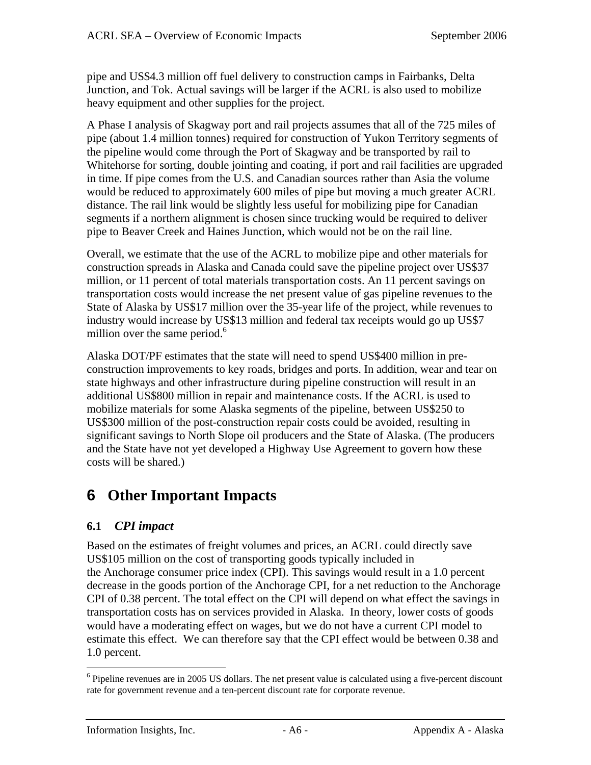pipe and US\$4.3 million off fuel delivery to construction camps in Fairbanks, Delta Junction, and Tok. Actual savings will be larger if the ACRL is also used to mobilize heavy equipment and other supplies for the project.

A Phase I analysis of Skagway port and rail projects assumes that all of the 725 miles of pipe (about 1.4 million tonnes) required for construction of Yukon Territory segments of the pipeline would come through the Port of Skagway and be transported by rail to Whitehorse for sorting, double jointing and coating, if port and rail facilities are upgraded in time. If pipe comes from the U.S. and Canadian sources rather than Asia the volume would be reduced to approximately 600 miles of pipe but moving a much greater ACRL distance. The rail link would be slightly less useful for mobilizing pipe for Canadian segments if a northern alignment is chosen since trucking would be required to deliver pipe to Beaver Creek and Haines Junction, which would not be on the rail line.

Overall, we estimate that the use of the ACRL to mobilize pipe and other materials for construction spreads in Alaska and Canada could save the pipeline project over US\$37 million, or 11 percent of total materials transportation costs. An 11 percent savings on transportation costs would increase the net present value of gas pipeline revenues to the State of Alaska by US\$17 million over the 35-year life of the project, while revenues to industry would increase by US\$13 million and federal tax receipts would go up US\$7 million over the same period. $6$ 

Alaska DOT/PF estimates that the state will need to spend US\$400 million in preconstruction improvements to key roads, bridges and ports. In addition, wear and tear on state highways and other infrastructure during pipeline construction will result in an additional US\$800 million in repair and maintenance costs. If the ACRL is used to mobilize materials for some Alaska segments of the pipeline, between US\$250 to US\$300 million of the post-construction repair costs could be avoided, resulting in significant savings to North Slope oil producers and the State of Alaska. (The producers and the State have not yet developed a Highway Use Agreement to govern how these costs will be shared.)

## **6 Other Important Impacts**

### **6.1** *CPI impact*

Based on the estimates of freight volumes and prices, an ACRL could directly save US\$105 million on the cost of transporting goods typically included in the Anchorage consumer price index (CPI). This savings would result in a 1.0 percent decrease in the goods portion of the Anchorage CPI, for a net reduction to the Anchorage CPI of 0.38 percent. The total effect on the CPI will depend on what effect the savings in transportation costs has on services provided in Alaska. In theory, lower costs of goods would have a moderating effect on wages, but we do not have a current CPI model to estimate this effect. We can therefore say that the CPI effect would be between 0.38 and 1.0 percent.

<sup>&</sup>lt;sup>6</sup> Pipeline revenues are in 2005 US dollars. The net present value is calculated using a five-percent discount rate for government revenue and a ten-percent discount rate for corporate revenue.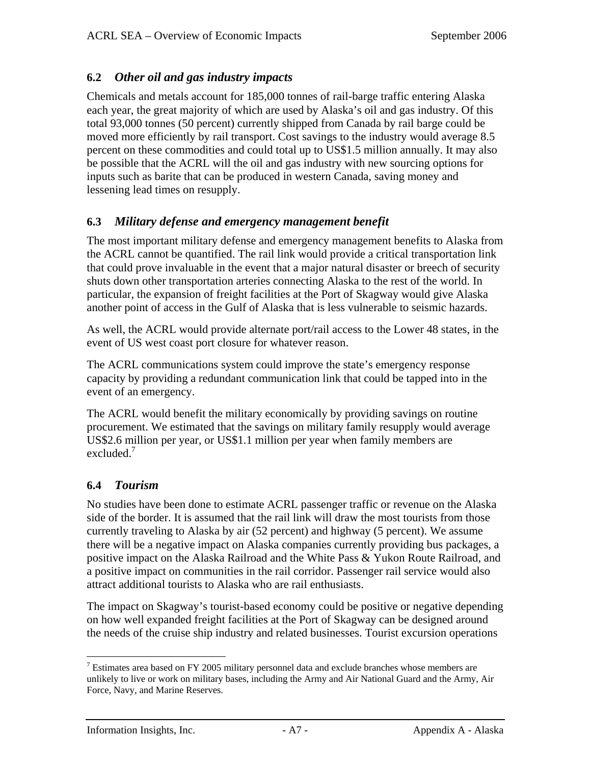### **6.2** *Other oil and gas industry impacts*

Chemicals and metals account for 185,000 tonnes of rail-barge traffic entering Alaska each year, the great majority of which are used by Alaska's oil and gas industry. Of this total 93,000 tonnes (50 percent) currently shipped from Canada by rail barge could be moved more efficiently by rail transport. Cost savings to the industry would average 8.5 percent on these commodities and could total up to US\$1.5 million annually. It may also be possible that the ACRL will the oil and gas industry with new sourcing options for inputs such as barite that can be produced in western Canada, saving money and lessening lead times on resupply.

### **6.3** *Military defense and emergency management benefit*

The most important military defense and emergency management benefits to Alaska from the ACRL cannot be quantified. The rail link would provide a critical transportation link that could prove invaluable in the event that a major natural disaster or breech of security shuts down other transportation arteries connecting Alaska to the rest of the world. In particular, the expansion of freight facilities at the Port of Skagway would give Alaska another point of access in the Gulf of Alaska that is less vulnerable to seismic hazards.

As well, the ACRL would provide alternate port/rail access to the Lower 48 states, in the event of US west coast port closure for whatever reason.

The ACRL communications system could improve the state's emergency response capacity by providing a redundant communication link that could be tapped into in the event of an emergency.

The ACRL would benefit the military economically by providing savings on routine procurement. We estimated that the savings on military family resupply would average US\$2.6 million per year, or US\$1.1 million per year when family members are excluded.<sup>7</sup>

### **6.4** *Tourism*

No studies have been done to estimate ACRL passenger traffic or revenue on the Alaska side of the border. It is assumed that the rail link will draw the most tourists from those currently traveling to Alaska by air (52 percent) and highway (5 percent). We assume there will be a negative impact on Alaska companies currently providing bus packages, a positive impact on the Alaska Railroad and the White Pass & Yukon Route Railroad, and a positive impact on communities in the rail corridor. Passenger rail service would also attract additional tourists to Alaska who are rail enthusiasts.

The impact on Skagway's tourist-based economy could be positive or negative depending on how well expanded freight facilities at the Port of Skagway can be designed around the needs of the cruise ship industry and related businesses. Tourist excursion operations

 $\overline{a}$  $7$  Estimates area based on FY 2005 military personnel data and exclude branches whose members are unlikely to live or work on military bases, including the Army and Air National Guard and the Army, Air Force, Navy, and Marine Reserves.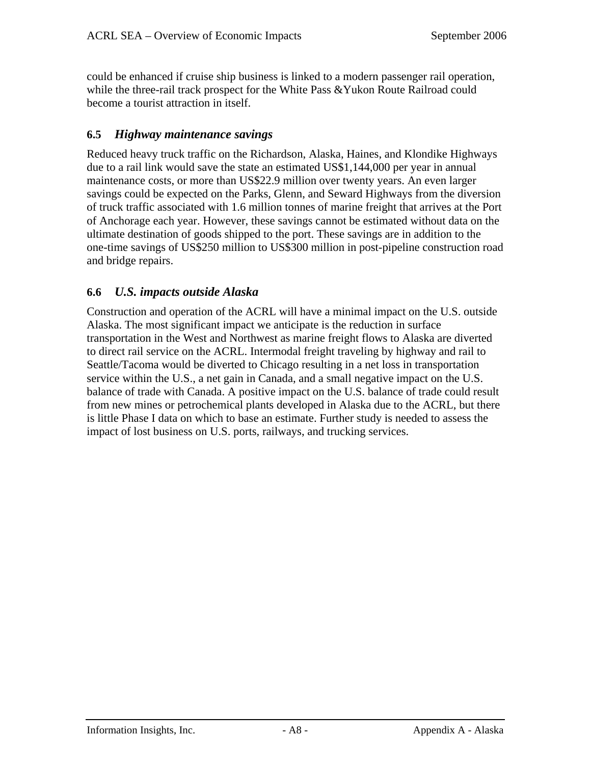could be enhanced if cruise ship business is linked to a modern passenger rail operation, while the three-rail track prospect for the White Pass & Yukon Route Railroad could become a tourist attraction in itself.

### **6.5** *Highway maintenance savings*

Reduced heavy truck traffic on the Richardson, Alaska, Haines, and Klondike Highways due to a rail link would save the state an estimated US\$1,144,000 per year in annual maintenance costs, or more than US\$22.9 million over twenty years. An even larger savings could be expected on the Parks, Glenn, and Seward Highways from the diversion of truck traffic associated with 1.6 million tonnes of marine freight that arrives at the Port of Anchorage each year. However, these savings cannot be estimated without data on the ultimate destination of goods shipped to the port. These savings are in addition to the one-time savings of US\$250 million to US\$300 million in post-pipeline construction road and bridge repairs.

### **6.6** *U.S. impacts outside Alaska*

Construction and operation of the ACRL will have a minimal impact on the U.S. outside Alaska. The most significant impact we anticipate is the reduction in surface transportation in the West and Northwest as marine freight flows to Alaska are diverted to direct rail service on the ACRL. Intermodal freight traveling by highway and rail to Seattle/Tacoma would be diverted to Chicago resulting in a net loss in transportation service within the U.S., a net gain in Canada, and a small negative impact on the U.S. balance of trade with Canada. A positive impact on the U.S. balance of trade could result from new mines or petrochemical plants developed in Alaska due to the ACRL, but there is little Phase I data on which to base an estimate. Further study is needed to assess the impact of lost business on U.S. ports, railways, and trucking services.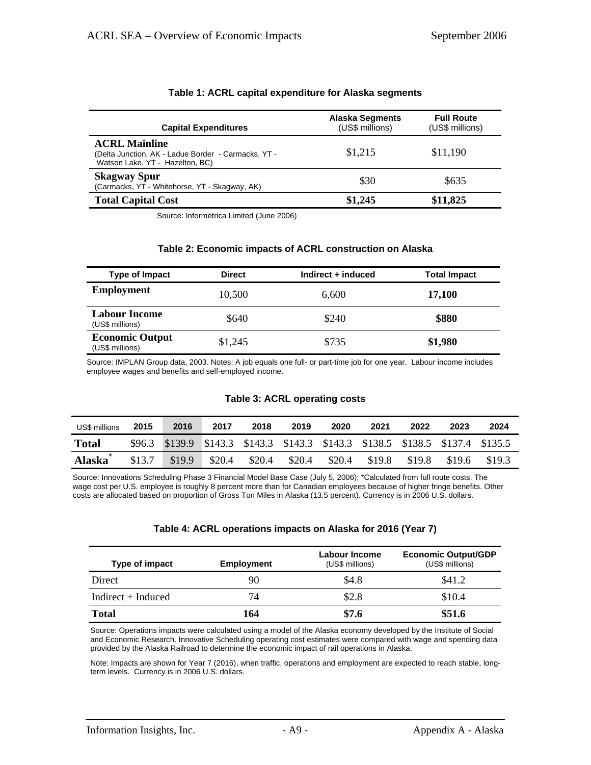| <b>Capital Expenditures</b>                                                                                    | <b>Alaska Segments</b><br>(US\$ millions) | <b>Full Route</b><br>(US\$ millions) |
|----------------------------------------------------------------------------------------------------------------|-------------------------------------------|--------------------------------------|
| <b>ACRL Mainline</b><br>(Delta Junction, AK - Ladue Border - Carmacks, YT -<br>Watson Lake, YT - Hazelton, BC) | \$1,215                                   | \$11,190                             |
| <b>Skagway Spur</b><br>(Carmacks, YT - Whitehorse, YT - Skagway, AK)                                           | \$30                                      | \$635                                |
| <b>Total Capital Cost</b>                                                                                      | \$1,245                                   | \$11,825                             |

#### **Table 1: ACRL capital expenditure for Alaska segments**

Source: Informetrica Limited (June 2006)

#### **Table 2: Economic impacts of ACRL construction on Alaska**

| Type of Impact                            | <b>Direct</b> | Indirect + induced | <b>Total Impact</b> |
|-------------------------------------------|---------------|--------------------|---------------------|
| <b>Employment</b>                         | 10,500        | 6,600              | 17,100              |
| <b>Labour Income</b><br>(US\$ millions)   | \$640         | \$240              | \$880               |
| <b>Economic Output</b><br>(US\$ millions) | \$1,245       | \$735              | \$1,980             |

Source: IMPLAN Group data, 2003. Notes: A job equals one full- or part-time job for one year. Labour income includes employee wages and benefits and self-employed income.

#### **Table 3: ACRL operating costs**

| US\$ millions       | 2015 | 2016                                                                           | 2017   | 2018   | 2019   | 2020   | 2021   | 2022   | 2023   | 2024   |
|---------------------|------|--------------------------------------------------------------------------------|--------|--------|--------|--------|--------|--------|--------|--------|
| <b>Total</b>        |      | \$96.3 \$139.9 \$143.3 \$143.3 \$143.3 \$143.3 \$138.5 \$138.5 \$137.4 \$135.5 |        |        |        |        |        |        |        |        |
| Alaska <sup>*</sup> |      | $$13.7$ $$19.9$                                                                | \$20.4 | \$20.4 | \$20.4 | \$20.4 | \$19.8 | \$19.8 | \$19.6 | \$19.3 |

Source: Innovations Scheduling Phase 3 Financial Model Base Case (July 5, 2006); \*Calculated from full route costs. The wage cost per U.S. employee is roughly 8 percent more than for Canadian employees because of higher fringe benefits. Other costs are allocated based on proportion of Gross Ton Miles in Alaska (13.5 percent). Currency is in 2006 U.S. dollars.

#### **Table 4: ACRL operations impacts on Alaska for 2016 (Year 7)**

| Type of impact       | <b>Employment</b> | Labour Income<br>(US\$ millions) | <b>Economic Output/GDP</b><br>(US\$ millions) |
|----------------------|-------------------|----------------------------------|-----------------------------------------------|
| Direct               | 90                | \$4.8                            | \$41.2                                        |
| $Indirect + Induced$ | 74                | \$2.8                            | \$10.4                                        |
| <b>Total</b>         | 164               | \$7.6                            | \$51.6                                        |

Source: Operations impacts were calculated using a model of the Alaska economy developed by the Institute of Social and Economic Research. Innovative Scheduling operating cost estimates were compared with wage and spending data provided by the Alaska Railroad to determine the economic impact of rail operations in Alaska.

Note: Impacts are shown for Year 7 (2016), when traffic, operations and employment are expected to reach stable, longterm levels. Currency is in 2006 U.S. dollars.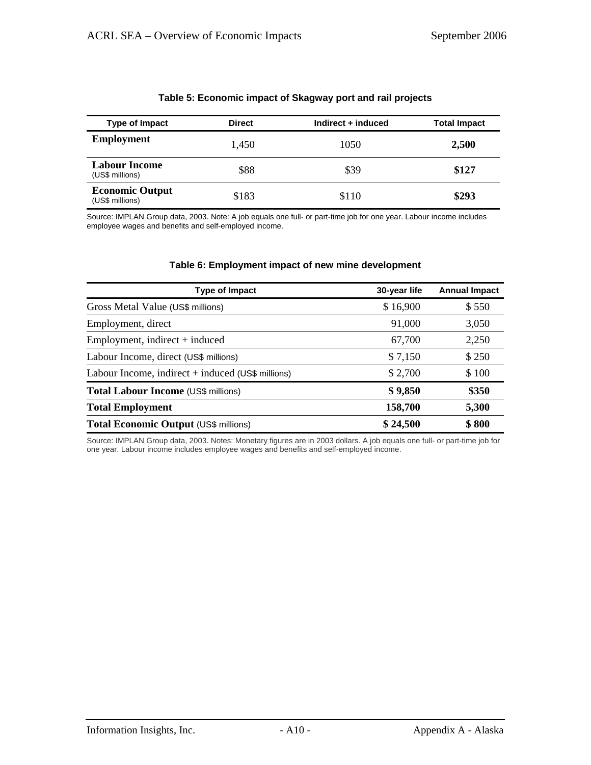| Type of Impact                            | <b>Direct</b> | Indirect + induced | <b>Total Impact</b> |
|-------------------------------------------|---------------|--------------------|---------------------|
| <b>Employment</b>                         | 1,450         | 1050               | 2,500               |
| <b>Labour Income</b><br>(US\$ millions)   | \$88          | \$39               | \$127               |
| <b>Economic Output</b><br>(US\$ millions) | \$183         | \$110              | \$293               |

#### **Table 5: Economic impact of Skagway port and rail projects**

Source: IMPLAN Group data, 2003. Note: A job equals one full- or part-time job for one year. Labour income includes employee wages and benefits and self-employed income.

#### **Table 6: Employment impact of new mine development**

| <b>Type of Impact</b>                               | 30-year life | <b>Annual Impact</b> |
|-----------------------------------------------------|--------------|----------------------|
| Gross Metal Value (US\$ millions)                   | \$16,900     | \$550                |
| Employment, direct                                  | 91,000       | 3,050                |
| $Employment$ , indirect + induced                   | 67,700       | 2,250                |
| Labour Income, direct (US\$ millions)               | \$7,150      | \$250                |
| Labour Income, indirect $+$ induced (US\$ millions) | \$2,700      | \$100                |
| Total Labour Income (US\$ millions)                 | \$9,850      | \$350                |
| <b>Total Employment</b>                             | 158,700      | 5,300                |
| Total Economic Output (US\$ millions)               | \$24,500     | \$800                |

Source: IMPLAN Group data, 2003. Notes: Monetary figures are in 2003 dollars. A job equals one full- or part-time job for one year. Labour income includes employee wages and benefits and self-employed income.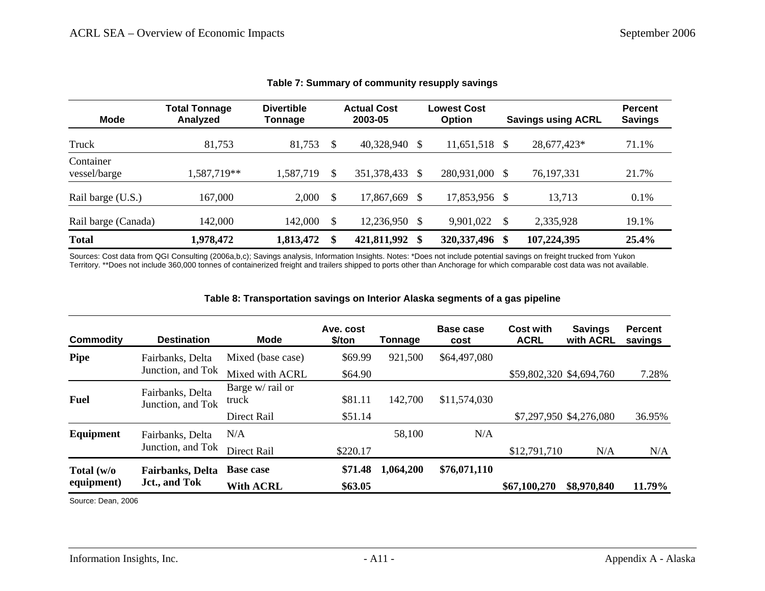| <b>Mode</b>               | <b>Total Tonnage</b><br>Analyzed | <b>Divertible</b><br>Tonnage |     | <b>Actual Cost</b><br>2003-05 |          | <b>Lowest Cost</b><br><b>Option</b> |               | <b>Savings using ACRL</b> | <b>Percent</b><br><b>Savings</b> |
|---------------------------|----------------------------------|------------------------------|-----|-------------------------------|----------|-------------------------------------|---------------|---------------------------|----------------------------------|
| Truck                     | 81,753                           | 81,753                       | \$. | 40,328,940                    | -S       | 11,651,518                          | S             | 28,677,423*               | 71.1%                            |
| Container<br>vessel/barge | 1,587,719**                      | 1,587,719                    | \$  | 351,378,433                   | <b>S</b> | 280,931,000                         | S.            | 76, 197, 331              | 21.7%                            |
| Rail barge (U.S.)         | 167,000                          | 2,000                        | \$. | 17,867,669                    |          | 17,853,956                          | <sup>\$</sup> | 13,713                    | 0.1%                             |
| Rail barge (Canada)       | 142,000                          | 142,000                      |     | 12,236,950                    | -S       | 9,901,022                           | \$            | 2,335,928                 | 19.1%                            |
| <b>Total</b>              | 1,978,472                        | 1,813,472                    |     | 421,811,992                   | -\$      | 320, 337, 496                       | \$            | 107,224,395               | 25.4%                            |

#### **Table 7: Summary of community resupply savings**

Sources: Cost data from QGI Consulting (2006a,b,c); Savings analysis, Information Insights. Notes: \*Does not include potential savings on freight trucked from Yukon Territory. \*\*Does not include 360,000 tonnes of containerized freight and trailers shipped to ports other than Anchorage for which comparable cost data was not available.

#### **Table 8: Transportation savings on Interior Alaska segments of a gas pipeline**

| Commodity                | <b>Destination</b>                        | <b>Mode</b>               | Ave. cost<br>\$/ton | Tonnage   | Base case<br>cost | <b>Cost with</b><br><b>ACRL</b> | <b>Savings</b><br>with <b>ACRL</b> | <b>Percent</b><br>savings |
|--------------------------|-------------------------------------------|---------------------------|---------------------|-----------|-------------------|---------------------------------|------------------------------------|---------------------------|
| <b>Pipe</b>              | Fairbanks, Delta<br>Junction, and Tok     | Mixed (base case)         | \$69.99             | 921,500   | \$64,497,080      |                                 |                                    |                           |
|                          |                                           | Mixed with ACRL           | \$64.90             |           |                   |                                 | \$59,802,320 \$4,694,760           | 7.28%                     |
| <b>Fuel</b>              | Fairbanks, Delta<br>Junction, and Tok     | Barge w/ rail or<br>truck | \$81.11             | 142,700   | \$11,574,030      |                                 |                                    |                           |
|                          |                                           | Direct Rail               | \$51.14             |           |                   |                                 | \$7,297,950 \$4,276,080            | 36.95%                    |
| Equipment                | Fairbanks, Delta<br>Junction, and Tok     | N/A                       |                     | 58,100    | N/A               |                                 |                                    |                           |
|                          |                                           | Direct Rail               | \$220.17            |           |                   | \$12,791,710                    | N/A                                | N/A                       |
| Total (w/o<br>equipment) | <b>Fairbanks</b> , Delta<br>Jct., and Tok | <b>Base case</b>          | \$71.48             | 1,064,200 | \$76,071,110      |                                 |                                    |                           |
|                          |                                           | <b>With ACRL</b>          | \$63.05             |           |                   | \$67,100,270                    | \$8,970,840                        | 11.79%                    |

Source: Dean, 2006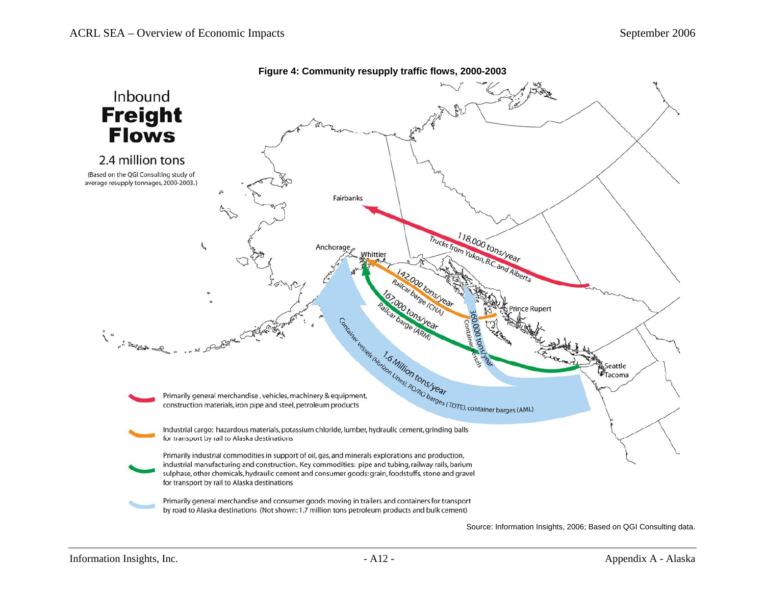

**Figure 4: Community resupply traffic flows, 2000-2003** 

Source: Information Insights, 2006; Based on QGI Consulting data.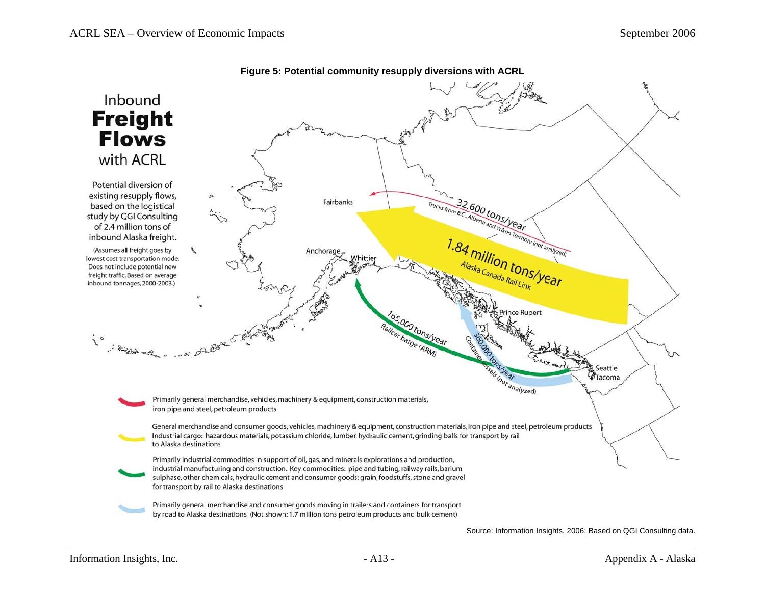

**Figure 5: Potential community resupply diversions with ACRL** 

Source: Information Insights, 2006; Based on QGI Consulting data.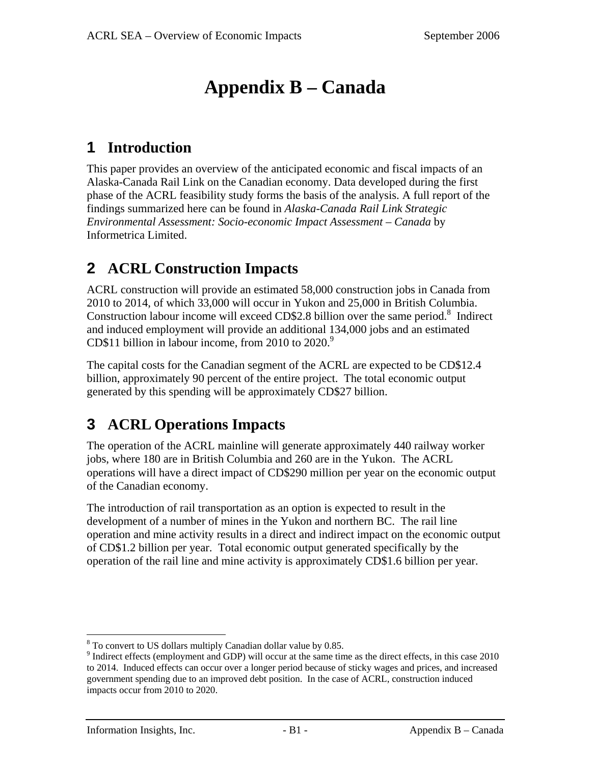# **Appendix B – Canada**

## **1 Introduction**

This paper provides an overview of the anticipated economic and fiscal impacts of an Alaska-Canada Rail Link on the Canadian economy. Data developed during the first phase of the ACRL feasibility study forms the basis of the analysis. A full report of the findings summarized here can be found in *Alaska-Canada Rail Link Strategic Environmental Assessment: Socio-economic Impact Assessment – Canada* by Informetrica Limited.

## **2 ACRL Construction Impacts**

ACRL construction will provide an estimated 58,000 construction jobs in Canada from 2010 to 2014, of which 33,000 will occur in Yukon and 25,000 in British Columbia. Construction labour income will exceed CD\$2.8 billion over the same period. $8$  Indirect and induced employment will provide an additional 134,000 jobs and an estimated CD\$11 billion in labour income, from 2010 to  $2020.^9$ 

The capital costs for the Canadian segment of the ACRL are expected to be CD\$12.4 billion, approximately 90 percent of the entire project. The total economic output generated by this spending will be approximately CD\$27 billion.

## **3 ACRL Operations Impacts**

The operation of the ACRL mainline will generate approximately 440 railway worker jobs, where 180 are in British Columbia and 260 are in the Yukon. The ACRL operations will have a direct impact of CD\$290 million per year on the economic output of the Canadian economy.

The introduction of rail transportation as an option is expected to result in the development of a number of mines in the Yukon and northern BC. The rail line operation and mine activity results in a direct and indirect impact on the economic output of CD\$1.2 billion per year. Total economic output generated specifically by the operation of the rail line and mine activity is approximately CD\$1.6 billion per year.

 $8$  To convert to US dollars multiply Canadian dollar value by 0.85.

<sup>&</sup>lt;sup>9</sup> Indirect effects (employment and GDP) will occur at the same time as the direct effects, in this case 2010 to 2014. Induced effects can occur over a longer period because of sticky wages and prices, and increased government spending due to an improved debt position. In the case of ACRL, construction induced impacts occur from 2010 to 2020.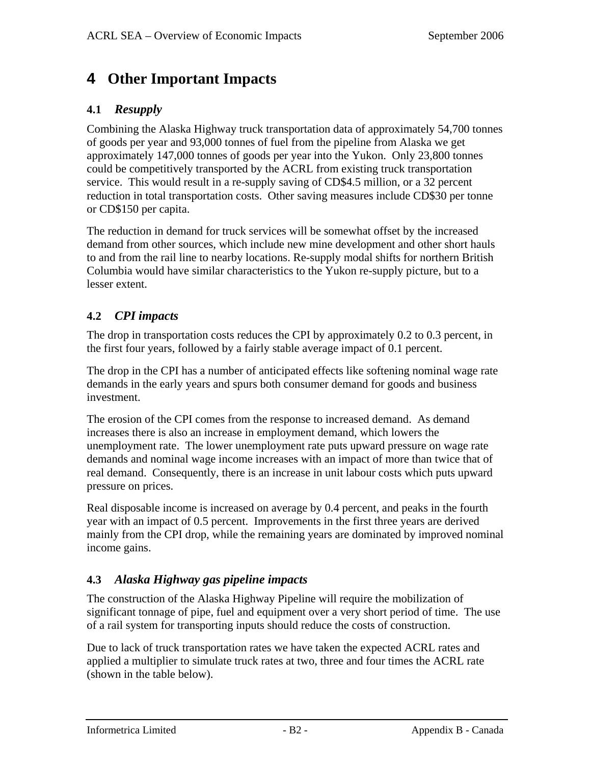### **4 Other Important Impacts**

### **4.1** *Resupply*

Combining the Alaska Highway truck transportation data of approximately 54,700 tonnes of goods per year and 93,000 tonnes of fuel from the pipeline from Alaska we get approximately 147,000 tonnes of goods per year into the Yukon. Only 23,800 tonnes could be competitively transported by the ACRL from existing truck transportation service. This would result in a re-supply saving of CD\$4.5 million, or a 32 percent reduction in total transportation costs. Other saving measures include CD\$30 per tonne or CD\$150 per capita.

The reduction in demand for truck services will be somewhat offset by the increased demand from other sources, which include new mine development and other short hauls to and from the rail line to nearby locations. Re-supply modal shifts for northern British Columbia would have similar characteristics to the Yukon re-supply picture, but to a lesser extent.

### **4.2** *CPI impacts*

The drop in transportation costs reduces the CPI by approximately 0.2 to 0.3 percent, in the first four years, followed by a fairly stable average impact of 0.1 percent.

The drop in the CPI has a number of anticipated effects like softening nominal wage rate demands in the early years and spurs both consumer demand for goods and business investment.

The erosion of the CPI comes from the response to increased demand. As demand increases there is also an increase in employment demand, which lowers the unemployment rate. The lower unemployment rate puts upward pressure on wage rate demands and nominal wage income increases with an impact of more than twice that of real demand. Consequently, there is an increase in unit labour costs which puts upward pressure on prices.

Real disposable income is increased on average by 0.4 percent, and peaks in the fourth year with an impact of 0.5 percent. Improvements in the first three years are derived mainly from the CPI drop, while the remaining years are dominated by improved nominal income gains.

### **4.3** *Alaska Highway gas pipeline impacts*

The construction of the Alaska Highway Pipeline will require the mobilization of significant tonnage of pipe, fuel and equipment over a very short period of time. The use of a rail system for transporting inputs should reduce the costs of construction.

Due to lack of truck transportation rates we have taken the expected ACRL rates and applied a multiplier to simulate truck rates at two, three and four times the ACRL rate (shown in the table below).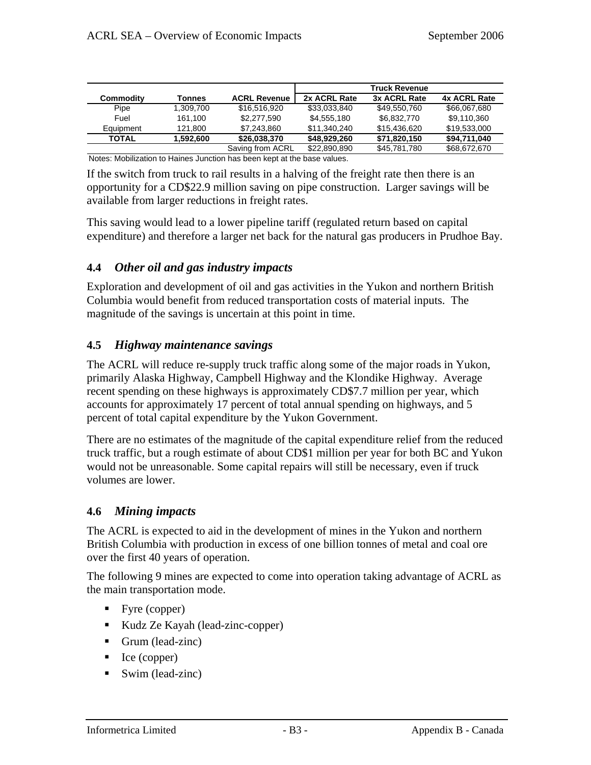|              |           |                     |              | <b>Truck Revenue</b> |              |
|--------------|-----------|---------------------|--------------|----------------------|--------------|
| Commodity    | Tonnes    | <b>ACRL Revenue</b> | 2x ACRL Rate | 3x ACRL Rate         | 4x ACRL Rate |
| Pipe         | 1.309.700 | \$16,516,920        | \$33,033,840 | \$49,550,760         | \$66,067,680 |
| Fuel         | 161.100   | \$2,277,590         | \$4,555,180  | \$6.832,770          | \$9,110,360  |
| Equipment    | 121.800   | \$7,243,860         | \$11.340.240 | \$15,436,620         | \$19,533,000 |
| <b>TOTAL</b> | 1.592.600 | \$26,038,370        | \$48.929.260 | \$71,820,150         | \$94,711,040 |
|              |           | Saving from ACRL    | \$22,890,890 | \$45,781,780         | \$68,672,670 |

Notes: Mobilization to Haines Junction has been kept at the base values.

If the switch from truck to rail results in a halving of the freight rate then there is an opportunity for a CD\$22.9 million saving on pipe construction. Larger savings will be available from larger reductions in freight rates.

This saving would lead to a lower pipeline tariff (regulated return based on capital expenditure) and therefore a larger net back for the natural gas producers in Prudhoe Bay.

### **4.4** *Other oil and gas industry impacts*

Exploration and development of oil and gas activities in the Yukon and northern British Columbia would benefit from reduced transportation costs of material inputs. The magnitude of the savings is uncertain at this point in time.

### **4.5** *Highway maintenance savings*

The ACRL will reduce re-supply truck traffic along some of the major roads in Yukon, primarily Alaska Highway, Campbell Highway and the Klondike Highway. Average recent spending on these highways is approximately CD\$7.7 million per year, which accounts for approximately 17 percent of total annual spending on highways, and 5 percent of total capital expenditure by the Yukon Government.

There are no estimates of the magnitude of the capital expenditure relief from the reduced truck traffic, but a rough estimate of about CD\$1 million per year for both BC and Yukon would not be unreasonable. Some capital repairs will still be necessary, even if truck volumes are lower.

#### **4.6** *Mining impacts*

The ACRL is expected to aid in the development of mines in the Yukon and northern British Columbia with production in excess of one billion tonnes of metal and coal ore over the first 40 years of operation.

The following 9 mines are expected to come into operation taking advantage of ACRL as the main transportation mode.

- Fyre (copper)
- Kudz Ze Kayah (lead-zinc-copper)
- Grum (lead-zinc)
- le (copper)
- Swim (lead-zinc)